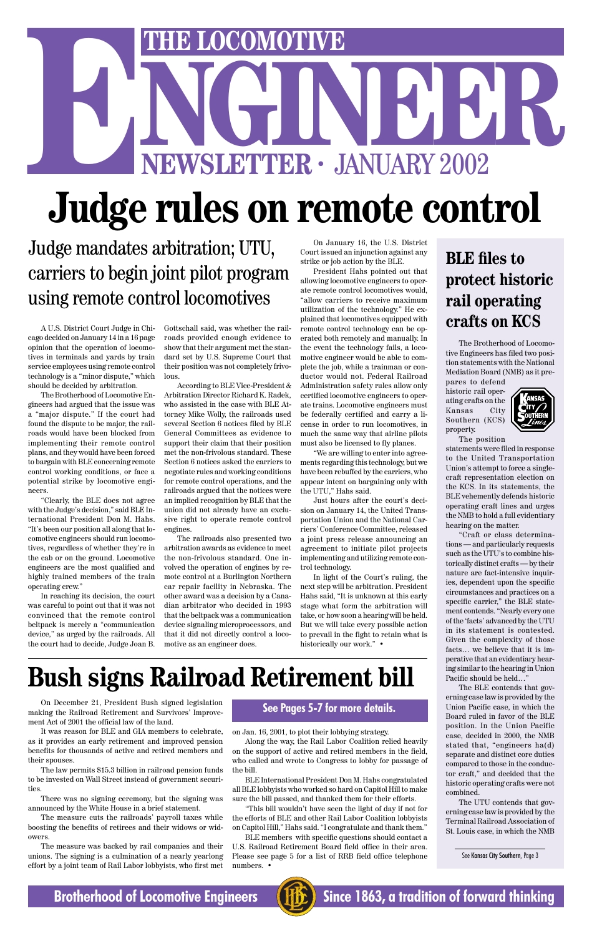# THE LOCOMOTIVE<br>
NEWSLETTER · JANUARY 2002 **ENEXAGE AND SURVEY PREDICTIVE**<br> **ENEWSLETTER ·** JANUARY 2002<br> **ENEWSLETTER ·** JANUARY 2002 **Judge rules on remote control**

The Brotherhood of Locomotive Engineers has filed two position statements with the National Mediation Board (NMB) as it prepares to defend

historic rail operating crafts on the Kansas City Southern (KCS) property.



The position

statements were filed in response to the United Transportation Union's attempt to force a singlecraft representation election on the KCS. In its statements, the BLE vehemently defends historic operating craft lines and urges the NMB to hold a full evidentiary hearing on the matter.

"Craft or class determinations — and particularly requests such as the UTU's to combine historically distinct crafts — by their nature are fact-intensive inquiries, dependent upon the specific circumstances and practices on a specific carrier," the BLE statement contends. "Nearly every one of the 'facts' advanced by the UTU in its statement is contested. Given the complexity of those facts… we believe that it is imperative that an evidentiary hearing similar to the hearing in Union Pacific should be held…"

The BLE contends that gov-

erning case law is provided by the Union Pacific case, in which the Board ruled in favor of the BLE position. In the Union Pacific case, decided in 2000, the NMB stated that, "engineers ha(d) separate and distinct core duties compared to those in the conductor craft," and decided that the historic operating crafts were not combined.

The UTU contends that governing case law is provided by the Terminal Railroad Association of St. Louis case, in which the NMB

### **BLE files to protect historic rail operating crafts on KCS**

# **Bush signs Railroad Retirement bill**

See Kansas City Southern, Page 3



**Brotherhood of Locomotive Engineers (FFG)** Since 1863, a tradition of forward thinking

On December 21, President Bush signed legislation making the Railroad Retirement and Survivors' Improvement Act of 2001 the official law of the land.

It was reason for BLE and GIA members to celebrate, as it provides an early retirement and improved pension benefits for thousands of active and retired members and their spouses.

The law permits \$15.3 billion in railroad pension funds to be invested on Wall Street instead of government securities.

There was no signing ceremony, but the signing was announced by the White House in a brief statement.

The measure cuts the railroads' payroll taxes while boosting the benefits of retirees and their widows or widowers.

The measure was backed by rail companies and their unions. The signing is a culmination of a nearly yearlong effort by a joint team of Rail Labor lobbyists, who first met on Jan. 16, 2001, to plot their lobbying strategy.

Along the way, the Rail Labor Coalition relied heavily on the support of active and retired members in the field, who called and wrote to Congress to lobby for passage of the bill.

BLE International President Don M. Hahs congratulated all BLE lobbyists who worked so hard on Capitol Hill to make sure the bill passed, and thanked them for their efforts.

"This bill wouldn't have seen the light of day if not for the efforts of BLE and other Rail Labor Coalition lobbyists on Capitol Hill," Hahs said. "I congratulate and thank them."

BLE members with specific questions should contact a U.S. Railroad Retirement Board field office in their area. Please see page 5 for a list of RRB field office telephone numbers. •

#### **See Pages 5-7 for more details.**

A U.S. District Court Judge in Chicago decided on January 14 in a 16 page opinion that the operation of locomotives in terminals and yards by train service employees using remote control technology is a "minor dispute," which should be decided by arbitration.

The Brotherhood of Locomotive Engineers had argued that the issue was a "major dispute." If the court had found the dispute to be major, the railroads would have been blocked from implementing their remote control plans, and they would have been forced to bargain with BLE concerning remote control working conditions, or face a potential strike by locomotive engineers.

"Clearly, the BLE does not agree with the Judge's decision," said BLE International President Don M. Hahs. "It's been our position all along that locomotive engineers should run locomotives, regardless of whether they're in the cab or on the ground. Locomotive engineers are the most qualified and highly trained members of the train operating crew."

In reaching its decision, the court was careful to point out that it was not convinced that the remote control beltpack is merely a "communication device," as urged by the railroads. All the court had to decide, Judge Joan B. Gottschall said, was whether the railroads provided enough evidence to show that their argument met the standard set by U.S. Supreme Court that their position was not completely frivolous.

According to BLE Vice-President & Arbitration Director Richard K. Radek, who assisted in the case with BLE Attorney Mike Wolly, the railroads used several Section 6 notices filed by BLE General Committees as evidence to support their claim that their position met the non-frivolous standard. These Section 6 notices asked the carriers to negotiate rules and working conditions for remote control operations, and the railroads argued that the notices were an implied recognition by BLE that the union did not already have an exclusive right to operate remote control engines.

The railroads also presented two arbitration awards as evidence to meet the non-frivolous standard. One involved the operation of engines by remote control at a Burlington Northern car repair facility in Nebraska. The other award was a decision by a Canadian arbitrator who decided in 1993 that the beltpack was a communication device signaling microprocessors, and that it did not directly control a locomotive as an engineer does.

On January 16, the U.S. District Court issued an injunction against any strike or job action by the BLE.

President Hahs pointed out that allowing locomotive engineers to operate remote control locomotives would, "allow carriers to receive maximum utilization of the technology." He explained that locomotives equipped with remote control technology can be operated both remotely and manually. In the event the technology fails, a locomotive engineer would be able to complete the job, while a trainman or conductor would not. Federal Railroad Administration safety rules allow only certified locomotive engineers to operate trains. Locomotive engineers must be federally certified and carry a license in order to run locomotives, in much the same way that airline pilots must also be licensed to fly planes.

"We are willing to enter into agreements regarding this technology, but we have been rebuffed by the carriers, who appear intent on bargaining only with the UTU," Hahs said.

Just hours after the court's decision on January 14, the United Transportation Union and the National Carriers' Conference Committee, released a joint press release announcing an agreement to initiate pilot projects implementing and utilizing remote control technology.

In light of the Court's ruling, the next step will be arbitration. President Hahs said, "It is unknown at this early stage what form the arbitration will take, or how soon a hearing will be held. But we will take every possible action to prevail in the fight to retain what is historically our work." •

## Judge mandates arbitration; UTU, carriers to begin joint pilot program using remote control locomotives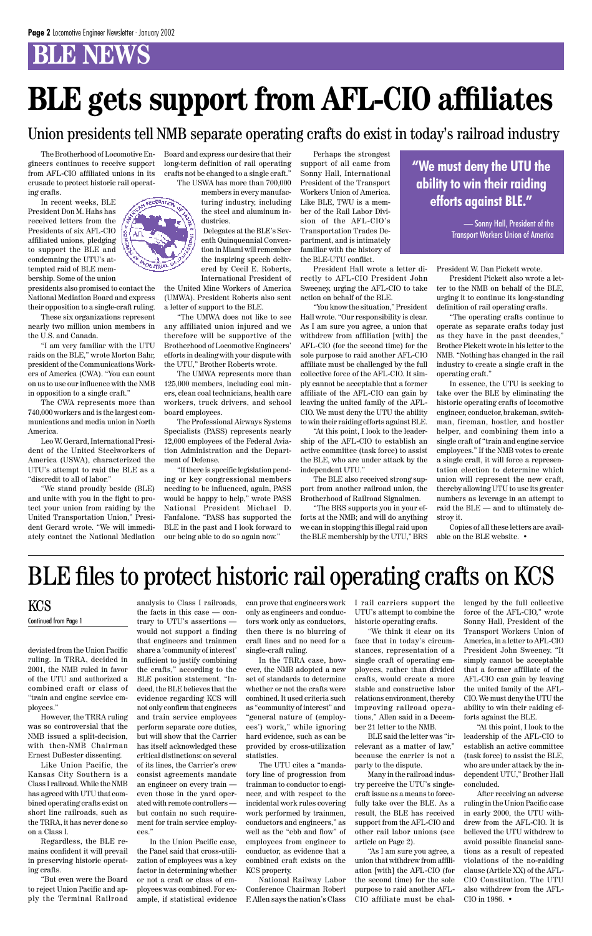# **BLE NEWS**

#### KCS Continued from Page 1

The Brotherhood of Locomotive Engineers continues to receive support from AFL-CIO affiliated unions in its crusade to protect historic rail operating crafts.

In recent weeks, BLE President Don M. Hahs has received letters from the Presidents of six AFL-CIO affiliated unions, pledging to support the BLE and condemning the UTU's attempted raid of BLE membership. Some of the union

presidents also promised to contact the National Mediation Board and express their opposition to a single-craft ruling.

These six organizations represent nearly two million union members in the U.S. and Canada.

"I am very familiar with the UTU raids on the BLE," wrote Morton Bahr, president of the Communications Workers of America (CWA). "You can count on us to use our influence with the NMB in opposition to a single craft."

The CWA represents more than 740,000 workers and is the largest communications and media union in North America.

Leo W. Gerard, International President of the United Steelworkers of America (USWA), characterized the UTU's attempt to raid the BLE as a "discredit to all of labor."

"We stand proudly beside (BLE) and unite with you in the fight to protect your union from raiding by the United Transportation Union," President Gerard wrote. "We will immediately contact the National Mediation Board and express our desire that their long-term definition of rail operating crafts not be changed to a single craft." The USWA has more than 700,000

members in every manufacturing industry, including the steel and aluminum industries.

Delegates at the BLE's Seventh Quinquennial Convention in Miami will remember the inspiring speech delivered by Cecil E. Roberts, International President of

the United Mine Workers of America (UMWA). President Roberts also sent a letter of support to the BLE.

"The UMWA does not like to see any affiliated union injured and we therefore will be supportive of the Brotherhood of Locomotive Engineers' efforts in dealing with your dispute with the UTU," Brother Roberts wrote.

The UMWA represents more than 125,000 members, including coal miners, clean coal technicians, health care workers, truck drivers, and school board employees.

The Professional Airways Systems Specialists (PASS) represents nearly 12,000 employees of the Federal Aviation Administration and the Department of Defense.

"If there is specific legislation pending or key congressional members needing to be influenced, again, PASS would be happy to help," wrote PASS National President Michael D. Fanfalone. "PASS has supported the BLE in the past and I look forward to our being able to do so again now."

Perhaps the strongest support of all came from Sonny Hall, International President of the Transport Workers Union of America. Like BLE, TWU is a member of the Rail Labor Division of the AFL-CIO's Transportation Trades Department, and is intimately familiar with the history of the BLE-UTU conflict.

President Hall wrote a letter directly to AFL-CIO President John Sweeney, urging the AFL-CIO to take action on behalf of the BLE.

"You know the situation," President Hall wrote. "Our responsibility is clear. As I am sure you agree, a union that withdrew from affiliation [with] the AFL-CIO (for the second time) for the sole purpose to raid another AFL-CIO affiliate must be challenged by the full collective force of the AFL-CIO. It simply cannot be acceptable that a former affiliate of the AFL-CIO can gain by leaving the united family of the AFL-CIO. We must deny the UTU the ability to win their raiding efforts against BLE.

"At this point, I look to the leadership of the AFL-CIO to establish an active committee (task force) to assist the BLE, who are under attack by the independent UTU."

The BLE also received strong support from another railroad union, the Brotherhood of Railroad Signalmen.

"The BRS supports you in your efforts at the NMB; and will do anything we can in stopping this illegal raid upon the BLE membership by the UTU," BRS

President W. Dan Pickett wrote.

President Pickett also wrote a letter to the NMB on behalf of the BLE, urging it to continue its long-standing definition of rail operating crafts.

"The operating crafts continue to operate as separate crafts today just as they have in the past decades," Brother Pickett wrote in his letter to the NMB. "Nothing has changed in the rail industry to create a single craft in the operating craft."

In essence, the UTU is seeking to take over the BLE by eliminating the historic operating crafts of locomotive engineer, conductor, brakeman, switchman, fireman, hostler, and hostler helper, and combining them into a single craft of "train and engine service employees." If the NMB votes to create a single craft, it will force a representation election to determine which union will represent the new craft, thereby allowing UTU to use its greater numbers as leverage in an attempt to raid the BLE — and to ultimately destroy it.

Copies of all these letters are available on the BLE website. •

# **BLE gets support from AFL-CIO affiliates**

### **"We must deny the UTU the ability to win their raiding efforts against BLE."**

— Sonny Hall, President of the Transport Workers Union of America

# BLE files to protect historic rail operating crafts on KCS

Union presidents tell NMB separate operating crafts do exist in today's railroad industry

deviated from the Union Pacific ruling. In TRRA, decided in 2001, the NMB ruled in favor of the UTU and authorized a

combined craft or class of "train and engine service employees."

However, the TRRA ruling was so controversial that the NMB issued a split-decision, with then-NMB Chairman Ernest DuBester dissenting.

Like Union Pacific, the Kansas City Southern is a Class I railroad. While the NMB has agreed with UTU that combined operating crafts exist on short line railroads, such as the TRRA, it has never done so on a Class I.

Regardless, the BLE remains confident it will prevail in preserving historic operating crafts.

"But even were the Board to reject Union Pacific and apply the Terminal Railroad analysis to Class I railroads,

the facts in this case — contrary to UTU's assertions would not support a finding that engineers and trainmen share a 'community of interest' sufficient to justify combining the crafts," according to the BLE position statement. "In-

deed, the BLE believes that the evidence regarding KCS will not only confirm that engineers

and train service employees perform separate core duties, but will show that the Carrier has itself acknowledged these critical distinctions: on several of its lines, the Carrier's crew consist agreements mandate an engineer on every train even those in the yard operated with remote controllers but contain no such requirement for train service employees."

In the Union Pacific case, the Panel said that cross-utilization of employees was a key factor in determining whether or not a craft or class of employees was combined. For example, if statistical evidence can prove that engineers work only as engineers and conductors work only as conductors, then there is no blurring of craft lines and no need for a single-craft ruling.

In the TRRA case, however, the NMB adopted a new set of standards to determine whether or not the crafts were combined. It used criteria such as "community of interest" and "general nature of (employees') work," while ignoring hard evidence, such as can be provided by cross-utilization statistics. The UTU cites a "mandatory line of progression from trainman to conductor to engineer, and with respect to the incidental work rules covering work performed by trainmen, conductors and engineers," as well as the "ebb and flow" of employees from engineer to conductor, as evidence that a combined craft exists on the KCS property.

National Railway Labor Conference Chairman Robert F. Allen says the nation's Class

I rail carriers support the UTU's attempt to combine the historic operating crafts.

"We think it clear on its face that in today's circumstances, representation of a single craft of operating employees, rather than divided crafts, would create a more stable and constructive labor relations environment, thereby improving railroad operations," Allen said in a December 21 letter to the NMB.

BLE said the letter was "irrelevant as a matter of law," because the carrier is not a party to the dispute.

Many in the railroad industry perceive the UTU's singlecraft issue as a means to forcefully take over the BLE. As a result, the BLE has received support from the AFL-CIO and other rail labor unions (see article on Page 2).

"As I am sure you agree, a union that withdrew from affiliation [with] the AFL-CIO (for the second time) for the sole purpose to raid another AFL-CIO affiliate must be challenged by the full collective force of the AFL-CIO," wrote Sonny Hall, President of the Transport Workers Union of America, in a letter to AFL-CIO President John Sweeney. "It simply cannot be acceptable that a former affiliate of the AFL-CIO can gain by leaving the united family of the AFL-CIO. We must deny the UTU the ability to win their raiding efforts against the BLE. "At this point, I look to the leadership of the AFL-CIO to establish an active committee (task force) to assist the BLE, who are under attack by the independent UTU," Brother Hall concluded. After receiving an adverse ruling in the Union Pacific case in early 2000, the UTU withdrew from the AFL-CIO. It is believed the UTU withdrew to avoid possible financial sanctions as a result of repeated violations of the no-raiding clause (Article XX) of the AFL-CIO Constitution. The UTU also withdrew from the AFL-CIO in 1986. •

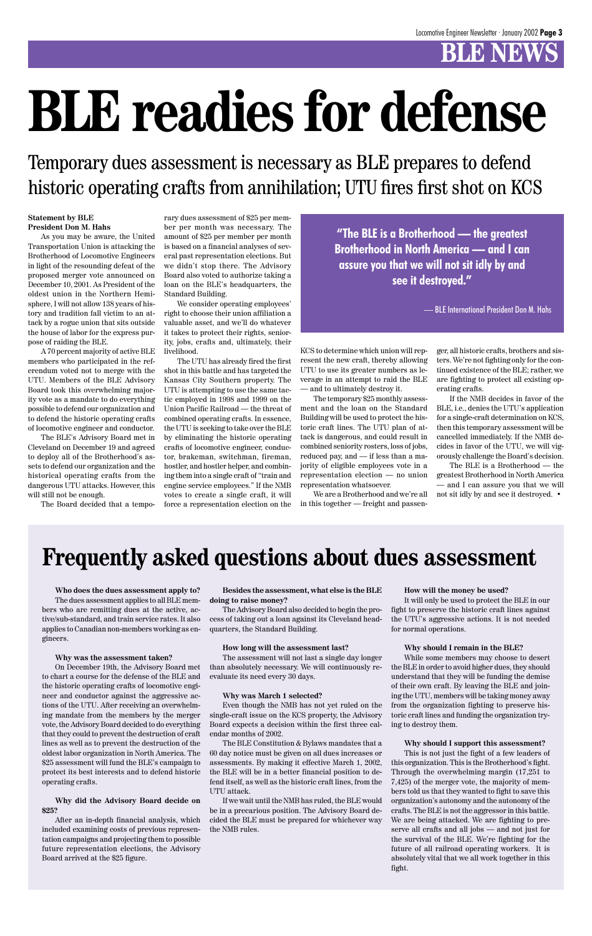# **BLE NEWS**

**Who does the dues assessment apply to?** The dues assessment applies to all BLE mem-

bers who are remitting dues at the active, active/sub-standard, and train service rates. It also applies to Canadian non-members working as engineers.

#### **Why was the assessment taken?**

On December 19th, the Advisory Board met to chart a course for the defense of the BLE and the historic operating crafts of locomotive engineer and conductor against the aggressive actions of the UTU. After receiving an overwhelming mandate from the members by the merger vote, the Advisory Board decided to do everything that they could to prevent the destruction of craft lines as well as to prevent the destruction of the oldest labor organization in North America. The \$25 assessment will fund the BLE's campaign to protect its best interests and to defend historic operating crafts.

#### **Why did the Advisory Board decide on \$25?**

After an in-depth financial analysis, which included examining costs of previous representation campaigns and projecting them to possible future representation elections, the Advisory Board arrived at the \$25 figure.

**Besides the assessment, what else is the BLE doing to raise money?**

The Advisory Board also decided to begin the process of taking out a loan against its Cleveland headquarters, the Standard Building.

#### **How long will the assessment last?**

The assessment will not last a single day longer than absolutely necessary. We will continuously reevaluate its need every 30 days.

#### **Why was March 1 selected?**

Even though the NMB has not yet ruled on the single-craft issue on the KCS property, the Advisory Board expects a decision within the first three calendar months of 2002.

The BLE Constitution & Bylaws mandates that a 60 day notice must be given on all dues increases or assessments. By making it effective March 1, 2002, the BLE will be in a better financial position to defend itself, as well as the historic craft lines, from the UTU attack.

If we wait until the NMB has ruled, the BLE would be in a precarious position. The Advisory Board decided the BLE must be prepared for whichever way the NMB rules.

#### **How will the money be used?**

It will only be used to protect the BLE in our fight to preserve the historic craft lines against the UTU's aggressive actions. It is not needed for normal operations.

#### **Why should I remain in the BLE?**

While some members may choose to desert the BLE in order to avoid higher dues, they should understand that they will be funding the demise of their own craft. By leaving the BLE and joining the UTU, members will be taking money away from the organization fighting to preserve historic craft lines and funding the organization trying to destroy them.

#### **Why should I support this assessment?**

This is not just the fight of a few leaders of this organization. This is the Brotherhood's fight. Through the overwhelming margin (17,251 to 7,425) of the merger vote, the majority of members told us that they wanted to fight to save this organization's autonomy and the autonomy of the crafts. The BLE is not the aggressor in this battle. We are being attacked. We are fighting to preserve all crafts and all jobs — and not just for the survival of the BLE. We're fighting for the future of all railroad operating workers. It is absolutely vital that we all work together in this fight.

### **Frequently asked questions about dues assessment**

#### **Statement by BLE President Don M. Hahs**

As you may be aware, the United Transportation Union is attacking the Brotherhood of Locomotive Engineers in light of the resounding defeat of the proposed merger vote announced on December 10, 2001. As President of the oldest union in the Northern Hemisphere, I will not allow 138 years of history and tradition fall victim to an attack by a rogue union that sits outside the house of labor for the express purpose of raiding the BLE.

A 70 percent majority of active BLE members who participated in the referendum voted not to merge with the UTU. Members of the BLE Advisory Board took this overwhelming majority vote as a mandate to do everything possible to defend our organization and to defend the historic operating crafts of locomotive engineer and conductor.

The BLE's Advisory Board met in Cleveland on December 19 and agreed to deploy all of the Brotherhood's assets to defend our organization and the historical operating crafts from the dangerous UTU attacks. However, this will still not be enough.

The Board decided that a tempo-

Temporary dues assessment is necessary as BLE prepares to defend historic operating crafts from annihilation; UTU fires first shot on KCS

> rary dues assessment of \$25 per member per month was necessary. The amount of \$25 per member per month is based on a financial analyses of several past representation elections. But we didn't stop there. The Advisory Board also voted to authorize taking a loan on the BLE's headquarters, the Standard Building.

> We consider operating employees' right to choose their union affiliation a valuable asset, and we'll do whatever it takes to protect their rights, seniority, jobs, crafts and, ultimately, their livelihood.

> The UTU has already fired the first shot in this battle and has targeted the Kansas City Southern property. The UTU is attempting to use the same tactic employed in 1998 and 1999 on the Union Pacific Railroad — the threat of combined operating crafts. In essence, the UTU is seeking to take over the BLE by eliminating the historic operating crafts of locomotive engineer, conductor, brakeman, switchman, fireman, hostler, and hostler helper, and combining them into a single craft of "train and engine service employees." If the NMB votes to create a single craft, it will force a representation election on the

KCS to determine which union will represent the new craft, thereby allowing UTU to use its greater numbers as leverage in an attempt to raid the BLE — and to ultimately destroy it.

The temporary \$25 monthly assessment and the loan on the Standard Building will be used to protect the historic craft lines. The UTU plan of attack is dangerous, and could result in combined seniority rosters, loss of jobs, reduced pay, and — if less than a majority of eligible employees vote in a representation election — no union representation whatsoever.

We are a Brotherhood and we're all in this together — freight and passenger, all historic crafts, brothers and sisters. We're not fighting only for the continued existence of the BLE; rather, we are fighting to protect all existing operating crafts.

If the NMB decides in favor of the BLE, i.e., denies the UTU's application for a single-craft determination on KCS, then this temporary assessment will be cancelled immediately. If the NMB decides in favor of the UTU, we will vigorously challenge the Board's decision.

The BLE is a Brotherhood — the greatest Brotherhood in North America — and I can assure you that we will not sit idly by and see it destroyed. •

# **BLE readies for defense**

**"The BLE is a Brotherhood — the greatest Brotherhood in North America — and I can assure you that we will not sit idly by and see it destroyed."**

— BLE International President Don M. Hahs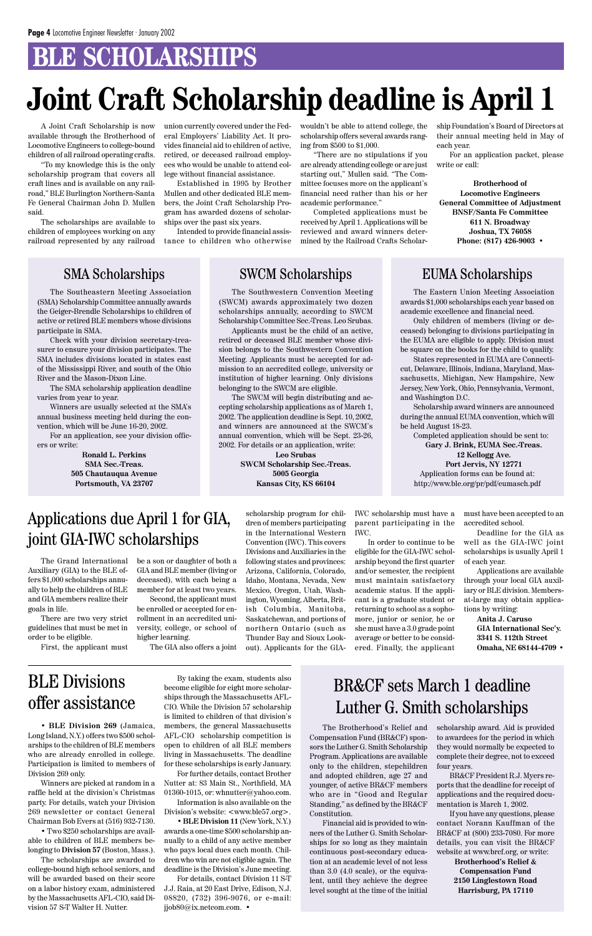# **BLE SCHOLARSHIPS**

# **Joint Craft Scholarship deadline is April 1**

A Joint Craft Scholarship is now available through the Brotherhood of Locomotive Engineers to college-bound children of all railroad operating crafts.

"To my knowledge this is the only scholarship program that covers all craft lines and is available on any railroad," BLE Burlington Northern-Santa Fe General Chairman John D. Mullen said.

The scholarships are available to children of employees working on any railroad represented by any railroad union currently covered under the Federal Employers' Liability Act. It provides financial aid to children of active, retired, or deceased railroad employees who would be unable to attend college without financial assistance.

Established in 1995 by Brother Mullen and other dedicated BLE members, the Joint Craft Scholarship Program has awarded dozens of scholarships over the past six years.

Intended to provide financial assistance to children who otherwise wouldn't be able to attend college, the scholarship offers several awards ranging from \$500 to \$1,000.

"There are no stipulations if you are already attending college or are just starting out," Mullen said. "The Committee focuses more on the applicant's financial need rather than his or her academic performance."

Completed applications must be received by April 1. Applications will be reviewed and award winners determined by the Railroad Crafts Scholarship Foundation's Board of Directors at their annual meeting held in May of each year.

For an application packet, please write or call:

**Brotherhood of Locomotive Engineers General Committee of Adjustment BNSF/Santa Fe Committee 611 N. Broadway Joshua, TX 76058 Phone: (817) 426-9003 •**

The Eastern Union Meeting Association awards \$1,000 scholarships each year based on academic excellence and financial need.

Only children of members (living or deceased) belonging to divisions participating in the EUMA are eligible to apply. Division must be square on the books for the child to qualify.

States represented in EUMA are Connecticut, Delaware, Illinois, Indiana, Maryland, Massachusetts, Michigan, New Hampshire, New Jersey, New York, Ohio, Pennsylvania, Vermont, and Washington D.C.

Scholarship award winners are announced during the annual EUMA convention, which will be held August 18-23.

Completed application should be sent to:

**Gary J. Brink, EUMA Sec.-Treas. 12 Kellogg Ave. Port Jervis, NY 12771** Application forms can be found at: http://www.ble.org/pr/pdf/eumasch.pdf

The Southeastern Meeting Association (SMA) Scholarship Committee annually awards the Geiger-Brendle Scholarships to children of active or retired BLE members whose divisions participate in SMA.

Check with your division secretary-treasurer to ensure your division participates. The SMA includes divisions located in states east of the Mississippi River, and south of the Ohio River and the Mason-Dixon Line.

The SMA scholarship application deadline varies from year to year.

Winners are usually selected at the SMA's annual business meeting held during the convention, which will be June 16-20, 2002.

For an application, see your division officers or write:

> **Ronald L. Perkins SMA Sec.-Treas. 505 Chautauqua Avenue Portsmouth, VA 23707**

### SMA Scholarships SWCM Scholarships EUMA Scholarships

The Southwestern Convention Meeting (SWCM) awards approximately two dozen scholarships annually, according to SWCM Scholarship Committee Sec.-Treas. Leo Srubas.

Applicants must be the child of an active, retired or deceased BLE member whose division belongs to the Southwestern Convention Meeting. Applicants must be accepted for admission to an accredited college, university or institution of higher learning. Only divisions belonging to the SWCM are eligible.

The SWCM will begin distributing and accepting scholarship applications as of March 1, 2002. The application deadline is Sept. 10, 2002, and winners are announced at the SWCM's annual convention, which will be Sept. 23-26, 2002. For details or an application, write:

> **Leo Srubas SWCM Scholarship Sec.-Treas. 5005 Georgia Kansas City, KS 66104**

### BLE Divisions

### offer assistance

• **BLE Division 269** (Jamaica, Long Island, N.Y.) offers two \$500 scholarships to the children of BLE members who are already enrolled in college. Participation is limited to members of Division 269 only.

Winners are picked at random in a raffle held at the division's Christmas party. For details, watch your Division 269 newsletter or contact General Chairman Bob Evers at (516) 932-7130.

• Two \$250 scholarships are available to children of BLE members belonging to **Division 57** (Boston, Mass.).

The scholarships are awarded to college-bound high school seniors, and will be awarded based on their score on a labor history exam, administered by the Massachusetts AFL-CIO, said Division 57 S-T Walter H. Nutter.

By taking the exam, students also become eligible for eight more scholarships through the Massachusetts AFL-CIO. While the Division 57 scholarship is limited to children of that division's members, the general Massachusetts AFL-CIO scholarship competition is open to children of all BLE members living in Massachusetts. The deadline for these scholarships is early January. For further details, contact Brother Nutter at: 83 Main St., Northfield, MA 01360-1015, or: whnutter@yahoo.com. Information is also available on the Division's website: <www.ble57.org>. • **BLE Division 11** (New York, N.Y.) awards a one-time \$500 scholarship annually to a child of any active member who pays local dues each month. Children who win are not eligible again. The deadline is the Division's June meeting.

For details, contact Division 11 S-T J.J. Raia, at 20 East Drive, Edison, N.J. 08820, (732) 396-9076, or e-mail: jjob80@ix.netcom.com. •

BR&CF sets March 1 deadline

# Luther G. Smith scholarships

The Brotherhood's Relief and Compensation Fund (BR&CF) sponsors the Luther G. Smith Scholarship Program. Applications are available only to the children, stepchildren and adopted children, age 27 and younger, of active BR&CF members who are in "Good and Regular Standing," as defined by the BR&CF Constitution.

Financial aid is provided to winners of the Luther G. Smith Scholarships for so long as they maintain continuous post-secondary education at an academic level of not less than 3.0 (4.0 scale), or the equivalent, until they achieve the degree level sought at the time of the initial scholarship award. Aid is provided to awardees for the period in which they would normally be expected to complete their degree, not to exceed four years.

BR&CF President R.J. Myers reports that the deadline for receipt of applications and the required documentation is March 1, 2002.

If you have any questions, please contact Norann Kauffman of the BR&CF at (800) 233-7080. For more details, you can visit the BR&CF website at www.brcf.org, or write:

> **Brotherhood's Relief & Compensation Fund 2150 Linglestown Road Harrisburg, PA 17110**

The Grand International Auxiliary (GIA) to the BLE offers \$1,000 scholarships annually to help the children of BLE and GIA members realize their goals in life.

There are two very strict guidelines that must be met in order to be eligible.

First, the applicant must

be a son or daughter of both a GIA and BLE member (living or deceased), with each being a member for at least two years.

Second, the applicant must be enrolled or accepted for enrollment in an accredited university, college, or school of higher learning.

The GIA also offers a joint

scholarship program for children of members participating in the International Western Convention (IWC). This covers Divisions and Auxiliaries in the following states and provinces: Arizona, California, Colorado, Idaho, Montana, Nevada, New Mexico, Oregon, Utah, Washington, Wyoming, Alberta, British Columbia, Manitoba, Saskatchewan, and portions of northern Ontario (such as Thunder Bay and Sioux Lookout). Applicants for the GIA-

IWC scholarship must have a parent participating in the IWC.

In order to continue to be eligible for the GIA-IWC scholarship beyond the first quarter and/or semester, the recipient must maintain satisfactory academic status. If the applicant is a graduate student or returning to school as a sophomore, junior or senior, he or she must have a 3.0 grade point average or better to be considered. Finally, the applicant

must have been accepted to an accredited school.

Deadline for the GIA as well as the GIA-IWC joint scholarships is usually April 1 of each year.

Applications are available through your local GIA auxiliary or BLE division. Membersat-large may obtain applications by writing:

> **Anita J. Caruso GIA International Sec'y. 3341 S. 112th Street Omaha, NE 68144-4709** •

### Applications due April 1 for GIA, joint GIA-IWC scholarships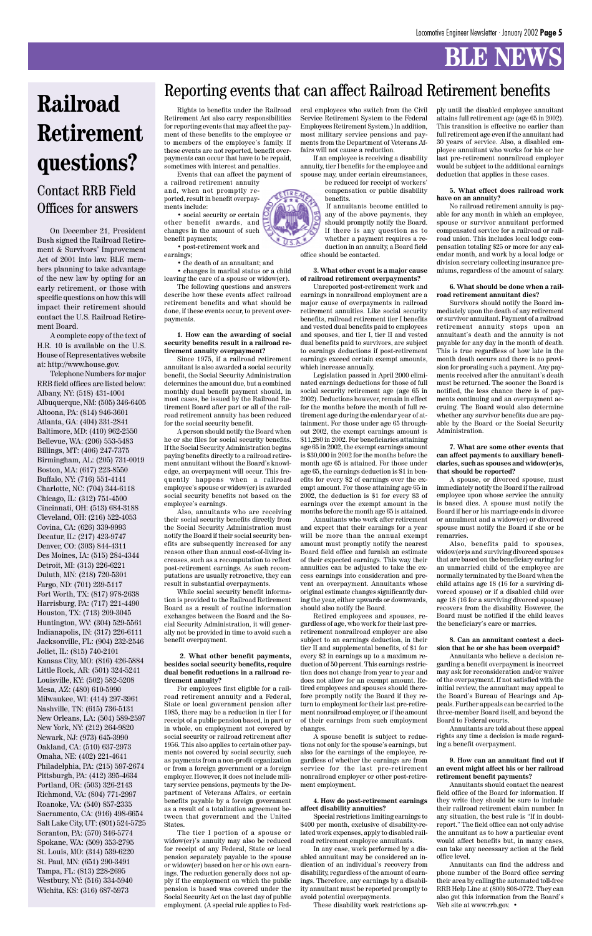## **BLE NEWS**

On December 21, President Bush signed the Railroad Retirement & Survivors' Improvement Act of 2001 into law. BLE members planning to take advantage of the new law by opting for an early retirement, or those with specific questions on how this will impact their retirement should contact the U.S. Railroad Retirement Board.

A complete copy of the text of H.R. 10 is available on the U.S. House of Representatives website at: http://www.house.gov.

Telephone Numbers for major RRB field offices are listed below: Albany, NY: (518) 431-4004 Albuquerque, NM: (505) 346-6405 Altoona, PA: (814) 946-3601 Atlanta, GA: (404) 331-2841 Baltimore, MD: (410) 962-2550 Bellevue, WA: (206) 553-5483 Billings, MT: (406) 247-7375 Birmingham, AL: (205) 731-0019 Boston, MA: (617) 223-8550 Buffalo, NY: (716) 551-4141 Charlotte, NC: (704) 344-6118 Chicago, IL: (312) 751-4500 Cincinnati, OH: (513) 684-3188 Cleveland, OH: (216) 522-4053 Covina, CA: (626) 339-9993 Decatur, IL: (217) 423-9747 Denver, CO: (303) 844-4311 Des Moines, IA: (515) 284-4344 Detroit, MI: (313) 226-6221 Duluth, MN: (218) 720-5301 Fargo, ND: (701) 239-5117 Fort Worth, TX: (817) 978-2638 Harrisburg, PA: (717) 221-4490 Houston, TX: (713) 209-3045 Huntington, WV: (304) 529-5561 Indianapolis, IN: (317) 226-6111 Jacksonville, FL: (904) 232-2546 Joliet, IL: (815) 740-2101 Kansas City, MO: (816) 426-5884 Little Rock, AR: (501) 324-5241 Louisville, KY: (502) 582-5208 Mesa, AZ: (480) 610-5990 Milwaukee, WI: (414) 297-3961 Nashville, TN: (615) 736-5131 New Orleans, LA: (504) 589-2597 New York, NY: (212) 264-9820 Newark, NJ: (973) 645-3990 Oakland, CA: (510) 637-2973 Omaha, NE: (402) 221-4641 Philadelphia, PA: (215) 597-2674 Pittsburgh, PA: (412) 395-4634 Portland, OR: (503) 326-2143 Richmond, VA: (804) 771-2997 Roanoke, VA: (540) 857-2335 Sacramento, CA: (916) 498-6654 Salt Lake City, UT: (801) 524-5725 Scranton, PA: (570) 346-5774 Spokane, WA: (509) 353-2795 St. Louis, MO: (314) 539-6220 St. Paul, MN: (651) 290-3491 Tampa, FL: (813) 228-2695 Westbury, NY: (516) 334-5940 Wichita, KS: (316) 687-5973

## **Railroad Retirement questions?** Contact RRB Field Offices for answers

### Reporting events that can affect Railroad Retirement benefits

Rights to benefits under the Railroad Retirement Act also carry responsibilities for reporting events that may affect the payment of these benefits to the employee or to members of the employee's family. If these events are not reported, benefit overpayments can occur that have to be repaid, sometimes with interest and penalties. Events that can affect the payment of

a railroad retirement annuity and, when not promptly reported, result in benefit overpayments include:

• social security or certain other benefit awards, and changes in the amount of such benefit payments;

• post-retirement work and earnings;

• the death of an annuitant; and

• changes in marital status or a child leaving the care of a spouse or widow(er).

The following questions and answers describe how these events affect railroad retirement benefits and what should be done, if these events occur, to prevent overpayments.

**1. How can the awarding of social security benefits result in a railroad retirement annuity overpayment?**

Since 1975, if a railroad retirement annuitant is also awarded a social security benefit, the Social Security Administration determines the amount due, but a combined monthly dual benefit payment should, in most cases, be issued by the Railroad Retirement Board after part or all of the railroad retirement annuity has been reduced for the social security benefit.

A person should notify the Board when he or she files for social security benefits. If the Social Security Administration begins paying benefits directly to a railroad retirement annuitant without the Board's knowledge, an overpayment will occur. This frequently happens when a railroad employee's spouse or widow(er) is awarded social security benefits not based on the employee's earnings.

Also, annuitants who are receiving their social security benefits directly from the Social Security Administration must notify the Board if their social security benefits are subsequently increased for any reason other than annual cost-of-living increases, such as a recomputation to reflect post-retirement earnings. As such recomputations are usually retroactive, they can result in substantial overpayments.

While social security benefit information is provided to the Railroad Retirement Board as a result of routine information exchanges between the Board and the Social Security Administration, it will generally not be provided in time to avoid such a benefit overpayment.

 **2. What other benefit payments, besides social security benefits, require dual benefit reductions in a railroad retirement annuity?**

For employees first eligible for a railroad retirement annuity and a Federal, State or local government pension after 1985, there may be a reduction in tier I for receipt of a public pension based, in part or in whole, on employment not covered by social security or railroad retirement after 1956. This also applies to certain other payments not covered by social security, such as payments from a non-profit organization or from a foreign government or a foreign employer. However, it does not include military service pensions, payments by the Department of Veterans Affairs, or certain benefits payable by a foreign government as a result of a totalization agreement between that government and the United States. The tier I portion of a spouse or widow(er)'s annuity may also be reduced for receipt of any Federal, State or local pension separately payable to the spouse or widow(er) based on her or his own earnings. The reduction generally does not apply if the employment on which the public pension is based was covered under the Social Security Act on the last day of public employment. (A special rule applies to Federal employees who switch from the Civil Service Retirement System to the Federal Employees Retirement System.) In addition, most military service pensions and payments from the Department of Veterans Affairs will not cause a reduction.

If an employee is receiving a disability annuity, tier I benefits for the employee and spouse may, under certain circumstances,

be reduced for receipt of workers' compensation or public disability benefits.

If annuitants become entitled to any of the above payments, they should promptly notify the Board. If there is any question as to whether a payment requires a reduction in an annuity, a Board field office should be contacted.

> Annuitants can find the address and phone number of the Board office serving their area by calling the automated toll-free RRB Help Line at (800) 808-0772. They can also get this information from the Board's Web site at www.rrb.gov. •

#### **3. What other event is a major cause of railroad retirement overpayments?**

Unreported post-retirement work and earnings in nonrailroad employment are a major cause of overpayments in railroad retirement annuities. Like social security benefits, railroad retirement tier I benefits and vested dual benefits paid to employees and spouses, and tier I, tier II and vested dual benefits paid to survivors, are subject to earnings deductions if post-retirement earnings exceed certain exempt amounts, which increase annually.

Legislation passed in April 2000 eliminated earnings deductions for those of full social security retirement age (age 65 in 2002). Deductions however, remain in effect for the months before the month of full retirement age during the calendar year of attainment. For those under age 65 throughout 2002, the exempt earnings amount is \$11,280 in 2002. For beneficiaries attaining age 65 in 2002, the exempt earnings amount is \$30,000 in 2002 for the months before the month age 65 is attained. For those under age 65, the earnings deduction is \$1 in benefits for every \$2 of earnings over the exempt amount. For those attaining age 65 in 2002, the deduction is \$1 for every \$3 of earnings over the exempt amount in the months before the month age 65 is attained.

Annuitants who work after retirement and expect that their earnings for a year will be more than the annual exempt amount must promptly notify the nearest Board field office and furnish an estimate of their expected earnings. This way their annuities can be adjusted to take the excess earnings into consideration and prevent an overpayment. Annuitants whose original estimate changes significantly during the year, either upwards or downwards, should also notify the Board.

Retired employees and spouses, regardless of age, who work for their last preretirement nonrailroad employer are also subject to an earnings deduction, in their tier II and supplemental benefits, of \$1 for every \$2 in earnings up to a maximum reduction of 50 percent. This earnings restriction does not change from year to year and does not allow for an exempt amount. Retired employees and spouses should therefore promptly notify the Board if they return to employment for their last pre-retirement nonrailroad employer, or if the amount of their earnings from such employment changes. A spouse benefit is subject to reductions not only for the spouse's earnings, but also for the earnings of the employee, regardless of whether the earnings are from service for the last pre-retirement nonrailroad employer or other post-retirement employment.

#### **4. How do post-retirement earnings affect disability annuities?**

Special restrictions limiting earnings to \$400 per month, exclusive of disability-related work expenses, apply to disabled railroad retirement employee annuitants.

In any case, work performed by a disabled annuitant may be considered an indication of an individual's recovery from disability, regardless of the amount of earnings. Therefore, any earnings by a disability annuitant must be reported promptly to avoid potential overpayments.

These disability work restrictions ap-

ply until the disabled employee annuitant attains full retirement age (age 65 in 2002). This transition is effective no earlier than full retirement age even if the annuitant had 30 years of service. Also, a disabled employee annuitant who works for his or her last pre-retirement nonrailroad employer would be subject to the additional earnings deduction that applies in these cases.

#### **5. What effect does railroad work have on an annuity?**

No railroad retirement annuity is payable for any month in which an employee, spouse or survivor annuitant performed compensated service for a railroad or railroad union. This includes local lodge compensation totaling \$25 or more for any calendar month, and work by a local lodge or division secretary collecting insurance premiums, regardless of the amount of salary.

#### **6. What should be done when a railroad retirement annuitant dies?**

Survivors should notify the Board immediately upon the death of any retirement or survivor annuitant. Payment of a railroad retirement annuity stops upon an annuitant's death and the annuity is not payable for any day in the month of death. This is true regardless of how late in the month death occurs and there is no provision for prorating such a payment. Any payments received after the annuitant's death must be returned. The sooner the Board is notified, the less chance there is of payments continuing and an overpayment accruing. The Board would also determine whether any survivor benefits due are payable by the Board or the Social Security Administration.

#### **7. What are some other events that can affect payments to auxiliary beneficiaries, such as spouses and widow(er)s, that should be reported?**

A spouse, or divorced spouse, must immediately notify the Board if the railroad employee upon whose service the annuity is based dies. A spouse must notify the Board if her or his marriage ends in divorce or annulment and a widow(er) or divorced spouse must notify the Board if she or he remarries.

Also, benefits paid to spouses, widow(er)s and surviving divorced spouses that are based on the beneficiary caring for an unmarried child of the employee are normally terminated by the Board when the child attains age 18 (16 for a surviving divorced spouse) or if a disabled child over age 18 (16 for a surviving divorced spouse) recovers from the disability. However, the Board must be notified if the child leaves the beneficiary's care or marries.

#### **8. Can an annuitant contest a decision that he or she has been overpaid?**

Annuitants who believe a decision regarding a benefit overpayment is incorrect may ask for reconsideration and/or waiver of the overpayment. If not satisfied with the initial review, the annuitant may appeal to the Board's Bureau of Hearings and Appeals. Further appeals can be carried to the three-member Board itself, and beyond the Board to Federal courts. Annuitants are told about these appeal rights any time a decision is made regarding a benefit overpayment.



**9. How can an annuitant find out if an event might affect his or her railroad retirement benefit payments?**

Annuitants should contact the nearest field office of the Board for information. If they write they should be sure to include their railroad retirement claim number. In any situation, the best rule is "If in doubtreport." The field office can not only advise the annuitant as to how a particular event would affect benefits but, in many cases, can take any necessary action at the field office level.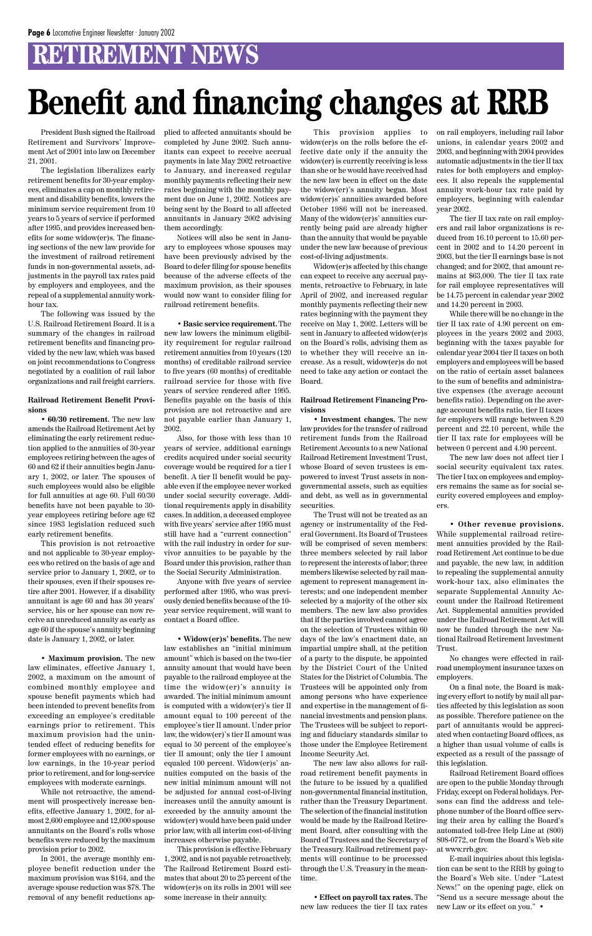# **RETIREMENT NEWS**

President Bush signed the Railroad Retirement and Survivors' Improvement Act of 2001 into law on December 21, 2001.

The legislation liberalizes early retirement benefits for 30-year employees, eliminates a cap on monthly retirement and disability benefits, lowers the minimum service requirement from 10 years to 5 years of service if performed after 1995, and provides increased benefits for some widow(er)s. The financing sections of the new law provide for the investment of railroad retirement funds in non-governmental assets, adjustments in the payroll tax rates paid by employers and employees, and the repeal of a supplemental annuity workhour tax.

The following was issued by the U.S. Railroad Retirement Board. It is a summary of the changes in railroad retirement benefits and financing provided by the new law, which was based on joint recommendations to Congress negotiated by a coalition of rail labor organizations and rail freight carriers.

#### **Railroad Retirement Benefit Provisions**

• **60/30 retirement.** The new law amends the Railroad Retirement Act by eliminating the early retirement reduction applied to the annuities of 30-year employees retiring between the ages of 60 and 62 if their annuities begin January 1, 2002, or later. The spouses of such employees would also be eligible for full annuities at age 60. Full 60/30 benefits have not been payable to 30 year employees retiring before age 62 since 1983 legislation reduced such early retirement benefits.

This provision is not retroactive and not applicable to 30-year employees who retired on the basis of age and service prior to January 1, 2002, or to their spouses, even if their spouses retire after 2001. However, if a disability annuitant is age 60 and has 30 years' service, his or her spouse can now receive an unreduced annuity as early as age 60 if the spouse's annuity beginning date is January 1, 2002, or later.

• **Maximum provision.** The new law eliminates, effective January 1, 2002, a maximum on the amount of combined monthly employee and spouse benefit payments which had been intended to prevent benefits from exceeding an employee's creditable earnings prior to retirement. This maximum provision had the unintended effect of reducing benefits for former employees with no earnings, or low earnings, in the 10-year period prior to retirement, and for long-service employees with moderate earnings. While not retroactive, the amendment will prospectively increase benefits, effective January 1, 2002, for almost 2,600 employee and 12,000 spouse annuitants on the Board's rolls whose benefits were reduced by the maximum provision prior to 2002. In 2001, the average monthly employee benefit reduction under the maximum provision was \$164, and the average spouse reduction was \$78. The removal of any benefit reductions applied to affected annuitants should be completed by June 2002. Such annuitants can expect to receive accrual payments in late May 2002 retroactive to January, and increased regular monthly payments reflecting their new rates beginning with the monthly payment due on June 1, 2002. Notices are being sent by the Board to all affected annuitants in January 2002 advising them accordingly.

Notices will also be sent in January to employees whose spouses may have been previously advised by the Board to defer filing for spouse benefits because of the adverse effects of the maximum provision, as their spouses would now want to consider filing for railroad retirement benefits.

• **Basic service requirement.** The new law lowers the minimum eligibility requirement for regular railroad retirement annuities from 10 years (120 months) of creditable railroad service to five years (60 months) of creditable railroad service for those with five years of service rendered after 1995. Benefits payable on the basis of this provision are not retroactive and are not payable earlier than January 1, 2002.

Also, for those with less than 10 years of service, additional earnings credits acquired under social security coverage would be required for a tier I benefit. A tier II benefit would be payable even if the employee never worked under social security coverage. Additional requirements apply in disability cases. In addition, a deceased employee with five years' service after 1995 must still have had a "current connection" with the rail industry in order for survivor annuities to be payable by the Board under this provision, rather than the Social Security Administration.

Anyone with five years of service performed after 1995, who was previously denied benefits because of the 10 year service requirement, will want to contact a Board office.

• **Widow(er)s' benefits.** The new law establishes an "initial minimum amount" which is based on the two-tier annuity amount that would have been payable to the railroad employee at the time the widow(er)'s annuity is awarded. The initial minimum amount is computed with a widow(er)'s tier II amount equal to 100 percent of the employee's tier II amount. Under prior law, the widow(er)'s tier II amount was equal to 50 percent of the employee's tier II amount; only the tier I amount equaled 100 percent. Widow(er)s' annuities computed on the basis of the new initial minimum amount will not be adjusted for annual cost-of-living increases until the annuity amount is exceeded by the annuity amount the widow(er) would have been paid under prior law, with all interim cost-of-living increases otherwise payable. This provision is effective February 1, 2002, and is not payable retroactively. The Railroad Retirement Board estimates that about 20 to 25 percent of the widow(er)s on its rolls in 2001 will see some increase in their annuity.

This provision applies to widow(er)s on the rolls before the effective date only if the annuity the widow(er) is currently receiving is less than she or he would have received had the new law been in effect on the date the widow(er)'s annuity began. Most widow(er)s' annuities awarded before October 1986 will not be increased. Many of the widow(er)s' annuities currently being paid are already higher than the annuity that would be payable under the new law because of previous cost-of-living adjustments.

Widow(er)s affected by this change can expect to receive any accrual payments, retroactive to February, in late April of 2002, and increased regular monthly payments reflecting their new rates beginning with the payment they receive on May 1, 2002. Letters will be sent in January to affected widow(er)s on the Board's rolls, advising them as to whether they will receive an increase. As a result, widow(er)s do not need to take any action or contact the Board.

#### **Railroad Retirement Financing Provisions**

• **Investment changes.** The new law provides for the transfer of railroad retirement funds from the Railroad Retirement Accounts to a new National Railroad Retirement Investment Trust, whose Board of seven trustees is empowered to invest Trust assets in nongovernmental assets, such as equities and debt, as well as in governmental securities.

The Trust will not be treated as an agency or instrumentality of the Federal Government. Its Board of Trustees will be comprised of seven members: three members selected by rail labor to represent the interests of labor; three members likewise selected by rail management to represent management interests; and one independent member selected by a majority of the other six members. The new law also provides that if the parties involved cannot agree on the selection of Trustees within 60 days of the law's enactment date, an impartial umpire shall, at the petition of a party to the dispute, be appointed by the District Court of the United States for the District of Columbia. The Trustees will be appointed only from among persons who have experience and expertise in the management of financial investments and pension plans. The Trustees will be subject to reporting and fiduciary standards similar to those under the Employee Retirement Income Security Act. The new law also allows for railroad retirement benefit payments in the future to be issued by a qualified non-governmental financial institution, rather than the Treasury Department. The selection of the financial institution would be made by the Railroad Retirement Board, after consulting with the Board of Trustees and the Secretary of the Treasury. Railroad retirement payments will continue to be processed through the U.S. Treasury in the meantime.

• **Effect on payroll tax rates.** The new law reduces the tier II tax rates on rail employers, including rail labor unions, in calendar years 2002 and 2003, and beginning with 2004 provides automatic adjustments in the tier II tax rates for both employers and employees. It also repeals the supplemental annuity work-hour tax rate paid by employers, beginning with calendar year 2002.

The tier II tax rate on rail employers and rail labor organizations is reduced from 16.10 percent to 15.60 percent in 2002 and to 14.20 percent in 2003, but the tier II earnings base is not changed; and for 2002, that amount remains at \$63,000. The tier II tax rate for rail employee representatives will be 14.75 percent in calendar year 2002 and 14.20 percent in 2003.

While there will be no change in the tier II tax rate of 4.90 percent on employees in the years 2002 and 2003, beginning with the taxes payable for calendar year 2004 tier II taxes on both employers and employees will be based on the ratio of certain asset balances to the sum of benefits and administrative expenses (the average account benefits ratio). Depending on the average account benefits ratio, tier II taxes for employers will range between 8.20 percent and 22.10 percent, while the tier II tax rate for employees will be between 0 percent and 4.90 percent.

The new law does not affect tier I social security equivalent tax rates. The tier I tax on employees and employers remains the same as for social security covered employees and employers.

• **Other revenue provisions.** While supplemental railroad retirement annuities provided by the Railroad Retirement Act continue to be due and payable, the new law, in addition to repealing the supplemental annuity work-hour tax, also eliminates the separate Supplemental Annuity Account under the Railroad Retirement Act. Supplemental annuities provided under the Railroad Retirement Act will now be funded through the new National Railroad Retirement Investment Trust.

No changes were effected in railroad unemployment insurance taxes on employers.

On a final note, the Board is making every effort to notify by mail all parties affected by this legislation as soon as possible. Therefore patience on the part of annuitants would be appreciated when contacting Board offices, as a higher than usual volume of calls is expected as a result of the passage of this legislation. Railroad Retirement Board offices are open to the public Monday through Friday, except on Federal holidays. Persons can find the address and telephone number of the Board office serving their area by calling the Board's automated toll-free Help Line at (800) 808-0772, or from the Board's Web site at www.rrb.gov. E-mail inquiries about this legislation can be sent to the RRB by going to the Board's Web site. Under "Latest News!" on the opening page, click on "Send us a secure message about the new Law or its effect on you." •

# **Benefit and financing changes at RRB**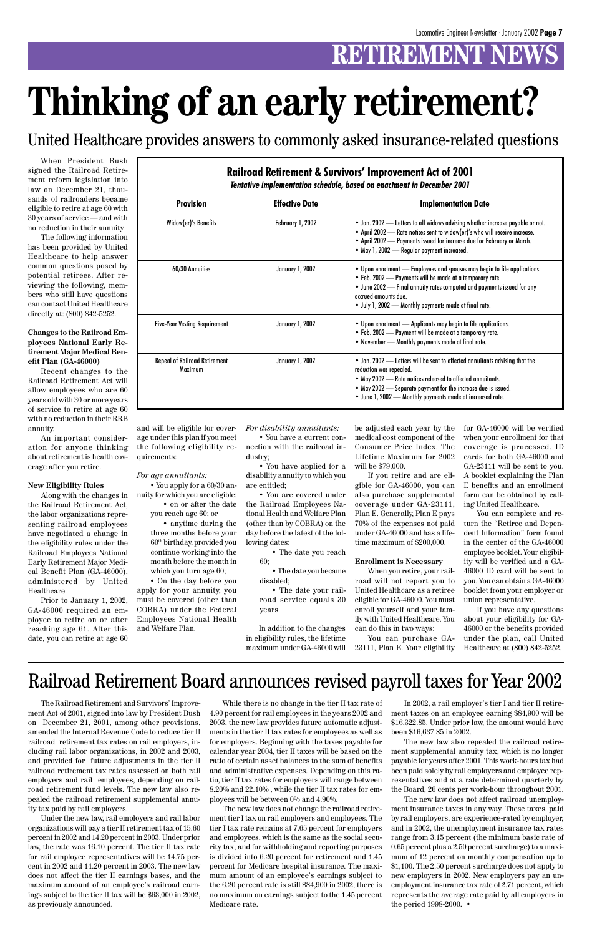# **RETIREMENT NEWS**

**Railroad Retirement & Survivors' Improvement Act of 2001**

| Tentative implementation schedule, based on enactment in December 2001 |                        |                                                                                                                                                                                                                                                                                                    |
|------------------------------------------------------------------------|------------------------|----------------------------------------------------------------------------------------------------------------------------------------------------------------------------------------------------------------------------------------------------------------------------------------------------|
| <b>Provision</b>                                                       | <b>Effective Date</b>  | <b>Implementation Date</b>                                                                                                                                                                                                                                                                         |
| Widow(er)'s Benefits                                                   | February 1, 2002       | . Jan. 2002 - Letters to all widows advising whether increase payable or not.<br>• April 2002 - Rate notices sent to widow(er)'s who will receive increase.<br>. April 2002 - Payments issued for increase due for February or March.<br>• May 1, 2002 - Regular payment increased.                |
| 60/30 Annuities                                                        | <b>January 1, 2002</b> | . Upon enactment - Employees and spouses may begin to file applications.<br>• Feb. 2002 - Payments will be made at a temporary rate.<br>• June 2002 - Final annuity rates computed and payments issued for any<br>accrued amounts due.<br>. July 1, 2002 - Monthly payments made at final rate.    |
| <b>Five-Year Vesting Requirement</b>                                   | <b>January 1, 2002</b> | . Upon enactment - Applicants may begin to file applications.<br>. Feb. 2002 - Payment will be made at a temporary rate.<br>. November - Monthly payments made at final rate.                                                                                                                      |
| <b>Repeal of Railroad Retirement</b><br>Maximum                        | <b>January 1, 2002</b> | . Jan. 2002 - Letters will be sent to affected annuitants advising that the<br>reduction was repealed.<br>. May 2002 - Rate notices released to affected annuitants.<br>• May 2002 - Separate payment for the increase due is issued.<br>. June 1, 2002 - Monthly payments made at increased rate. |

When President Bush signed the Railroad Retirement reform legislation into law on December 21, thousands of railroaders became eligible to retire at age 60 with 30 years of service — and with no reduction in their annuity.

The following information has been provided by United Healthcare to help answer common questions posed by potential retirees. After reviewing the following, members who still have questions can contact United Healthcare directly at: (800) 842-5252.

#### **Changes to the Railroad Employees National Early Retirement Major Medical Benefit Plan (GA-46000)**

Recent changes to the Railroad Retirement Act will allow employees who are 60 years old with 30 or more years of service to retire at age 60 with no reduction in their RRB annuity.

An important consideration for anyone thinking about retirement is health coverage after you retire.

#### **New Eligibility Rules**

Along with the changes in the Railroad Retirement Act, the labor organizations representing railroad employees have negotiated a change in the eligibility rules under the Railroad Employees National Early Retirement Major Medical Benefit Plan (GA-46000), administered by United Healthcare.

Prior to January 1, 2002, GA-46000 required an employee to retire on or after reaching age 61. After this date, you can retire at age 60 and will be eligible for coverage under this plan if you meet the following eligibility requirements:

*For age annuitants:*

• You apply for a 60/30 annuity for which you are eligible:

• on or after the date you reach age 60; or

• anytime during the three months before your 60th birthday, provided you continue working into the month before the month in which you turn age 60;

• On the day before you apply for your annuity, you must be covered (other than COBRA) under the Federal Employees National Health and Welfare Plan.

*For disability annuitants:*

• You have a current connection with the railroad industry;

• You have applied for a disability annuity to which you are entitled;

• You are covered under the Railroad Employees National Health and Welfare Plan (other than by COBRA) on the day before the latest of the following dates:

> • The date you reach 60;

• The date you became disabled;

• The date your railroad service equals 30 years.

In addition to the changes in eligibility rules, the lifetime maximum under GA-46000 will

be adjusted each year by the medical cost component of the Consumer Price Index. The Lifetime Maximum for 2002 will be \$79,000.

If you retire and are eligible for GA-46000, you can also purchase supplemental coverage under GA-23111, Plan E. Generally, Plan E pays 70% of the expenses not paid under GA-46000 and has a lifetime maximum of \$200,000.

#### **Enrollment is Necessary**

When you retire, your railroad will not report you to United Healthcare as a retiree eligible for GA-46000. You must enroll yourself and your family with United Healthcare. You can do this in two ways:

You can purchase GA-23111, Plan E. Your eligibility for GA-46000 will be verified when your enrollment for that coverage is processed. ID cards for both GA-46000 and GA-23111 will be sent to you. A booklet explaining the Plan E benefits and an enrollment form can be obtained by calling United Healthcare.

You can complete and return the "Retiree and Dependent Information" form found in the center of the GA-46000 employee booklet. Your eligibility will be verified and a GA-46000 ID card will be sent to you. You can obtain a GA-46000 booklet from your employer or union representative.

If you have any questions about your eligibility for GA-46000 or the benefits provided under the plan, call United Healthcare at (800) 842-5252.

# **Thinking of an early retirement?**

United Healthcare provides answers to commonly asked insurance-related questions

The Railroad Retirement and Survivors' Improvement Act of 2001, signed into law by President Bush on December 21, 2001, among other provisions, amended the Internal Revenue Code to reduce tier II railroad retirement tax rates on rail employers, including rail labor organizations, in 2002 and 2003, and provided for future adjustments in the tier II railroad retirement tax rates assessed on both rail employers and rail employees, depending on railroad retirement fund levels. The new law also repealed the railroad retirement supplemental annuity tax paid by rail employers.

Under the new law, rail employers and rail labor organizations will pay a tier II retirement tax of 15.60 percent in 2002 and 14.20 percent in 2003. Under prior law, the rate was 16.10 percent. The tier II tax rate for rail employee representatives will be 14.75 percent in 2002 and 14.20 percent in 2003. The new law does not affect the tier II earnings bases, and the maximum amount of an employee's railroad earnings subject to the tier II tax will be \$63,000 in 2002, as previously announced.

While there is no change in the tier II tax rate of 4.90 percent for rail employees in the years 2002 and 2003, the new law provides future automatic adjustments in the tier II tax rates for employees as well as for employers. Beginning with the taxes payable for calendar year 2004, tier II taxes will be based on the ratio of certain asset balances to the sum of benefits and administrative expenses. Depending on this ratio, tier II tax rates for employers will range between 8.20% and 22.10% , while the tier II tax rates for employees will be between 0% and 4.90%.

The new law does not change the railroad retirement tier I tax on rail employers and employees. The tier I tax rate remains at 7.65 percent for employers and employees, which is the same as the social security tax, and for withholding and reporting purposes is divided into 6.20 percent for retirement and 1.45 percent for Medicare hospital insurance. The maximum amount of an employee's earnings subject to the 6.20 percent rate is still \$84,900 in 2002; there is no maximum on earnings subject to the 1.45 percent Medicare rate.

In 2002, a rail employer's tier I and tier II retirement taxes on an employee earning \$84,900 will be \$16,322.85. Under prior law, the amount would have been \$16,637.85 in 2002.

The new law also repealed the railroad retirement supplemental annuity tax, which is no longer payable for years after 2001. This work-hours tax had been paid solely by rail employers and employee representatives and at a rate determined quarterly by the Board, 26 cents per work-hour throughout 2001.

The new law does not affect railroad unemployment insurance taxes in any way. These taxes, paid by rail employers, are experience-rated by employer, and in 2002, the unemployment insurance tax rates range from 3.15 percent (the minimum basic rate of 0.65 percent plus a 2.50 percent surcharge) to a maximum of 12 percent on monthly compensation up to \$1,100. The 2.50 percent surcharge does not apply to new employers in 2002. New employers pay an unemployment insurance tax rate of 2.71 percent, which represents the average rate paid by all employers in the period 1998-2000. •

### Railroad Retirement Board announces revised payroll taxes for Year 2002